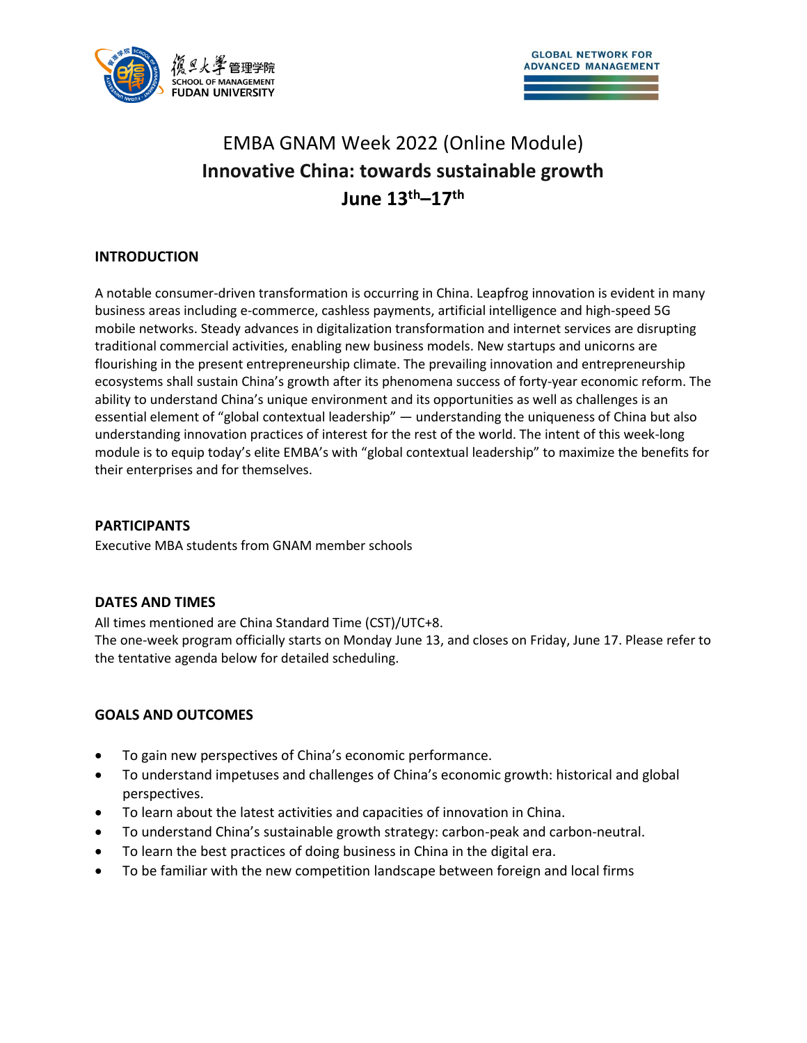

# EMBA GNAM Week 2022 (Online Module) **Innovative China: towards sustainable growth June 13th–17th**

# **INTRODUCTION**

A notable consumer-driven transformation is occurring in China. Leapfrog innovation is evident in many business areas including e-commerce, cashless payments, artificial intelligence and high-speed 5G mobile networks. Steady advances in digitalization transformation and internet services are disrupting traditional commercial activities, enabling new business models. New startups and unicorns are flourishing in the present entrepreneurship climate. The prevailing innovation and entrepreneurship ecosystems shall sustain China's growth after its phenomena success of forty-year economic reform. The ability to understand China's unique environment and its opportunities as well as challenges is an essential element of "global contextual leadership" — understanding the uniqueness of China but also understanding innovation practices of interest for the rest of the world. The intent of this week-long module is to equip today's elite EMBA's with "global contextual leadership" to maximize the benefits for their enterprises and for themselves.

# **PARTICIPANTS**

Executive MBA students from GNAM member schools

#### **DATES AND TIMES**

All times mentioned are China Standard Time (CST)/UTC+8.

The one-week program officially starts on Monday June 13, and closes on Friday, June 17. Please refer to the tentative agenda below for detailed scheduling.

#### **GOALS AND OUTCOMES**

- To gain new perspectives of China's economic performance.
- To understand impetuses and challenges of China's economic growth: historical and global perspectives.
- To learn about the latest activities and capacities of innovation in China.
- To understand China's sustainable growth strategy: carbon-peak and carbon-neutral.
- To learn the best practices of doing business in China in the digital era.
- To be familiar with the new competition landscape between foreign and local firms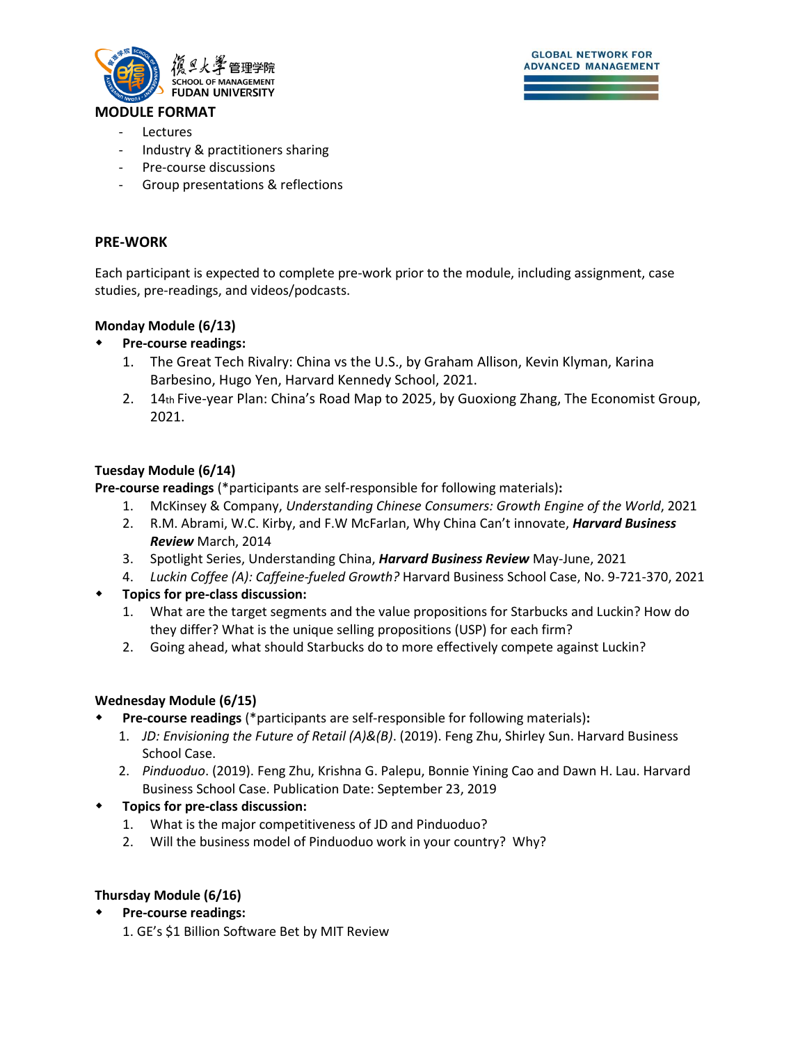

#### **MODULE FORMAT**

- **Lectures**
- Industry & practitioners sharing
- Pre-course discussions
- Group presentations & reflections

#### **PRE-WORK**

Each participant is expected to complete pre-work prior to the module, including assignment, case studies, pre-readings, and videos/podcasts.

### **Monday Module (6/13)**

### **Pre-course readings:**

- 1. The Great Tech Rivalry: China vs the U.S., by Graham Allison, Kevin Klyman, Karina Barbesino, Hugo Yen, Harvard Kennedy School, 2021.
- 2. 14th Five-year Plan: China's Road Map to 2025, by Guoxiong Zhang, The Economist Group, 2021.

#### **Tuesday Module (6/14)**

**Pre-course readings** (\*participants are self-responsible for following materials)**:**

- 1. McKinsey & Company, *Understanding Chinese Consumers: Growth Engine of the World*, 2021
- 2. R.M. Abrami, W.C. Kirby, and F.W McFarlan, Why China Can't innovate, *Harvard Business Review* March, 2014
- 3. Spotlight Series, Understanding China, *Harvard Business Review* May-June, 2021
- 4. *Luckin Coffee (A): Caffeine-fueled Growth?* Harvard Business School Case, No. 9-721-370, 2021
- **Topics for pre-class discussion:**
	- 1. What are the target segments and the value propositions for Starbucks and Luckin? How do they differ? What is the unique selling propositions (USP) for each firm?
	- 2. Going ahead, what should Starbucks do to more effectively compete against Luckin?

# **Wednesday Module (6/15)**

- **Pre-course readings** (\*participants are self-responsible for following materials)**:**
	- 1. *JD: Envisioning the Future of Retail (A)&(B)*. (2019). Feng Zhu, Shirley Sun. Harvard Business School Case.
	- 2. *Pinduoduo*. (2019). Feng Zhu, Krishna G. Palepu, Bonnie Yining Cao and Dawn H. Lau. Harvard Business School Case. Publication Date: September 23, 2019
- **Topics for pre-class discussion:**
	- 1. What is the major competitiveness of JD and Pinduoduo?
	- 2. Will the business model of Pinduoduo work in your country? Why?

# **Thursday Module (6/16)**

- **Pre-course readings:** 
	- 1. GE's \$1 Billion Software Bet by MIT Review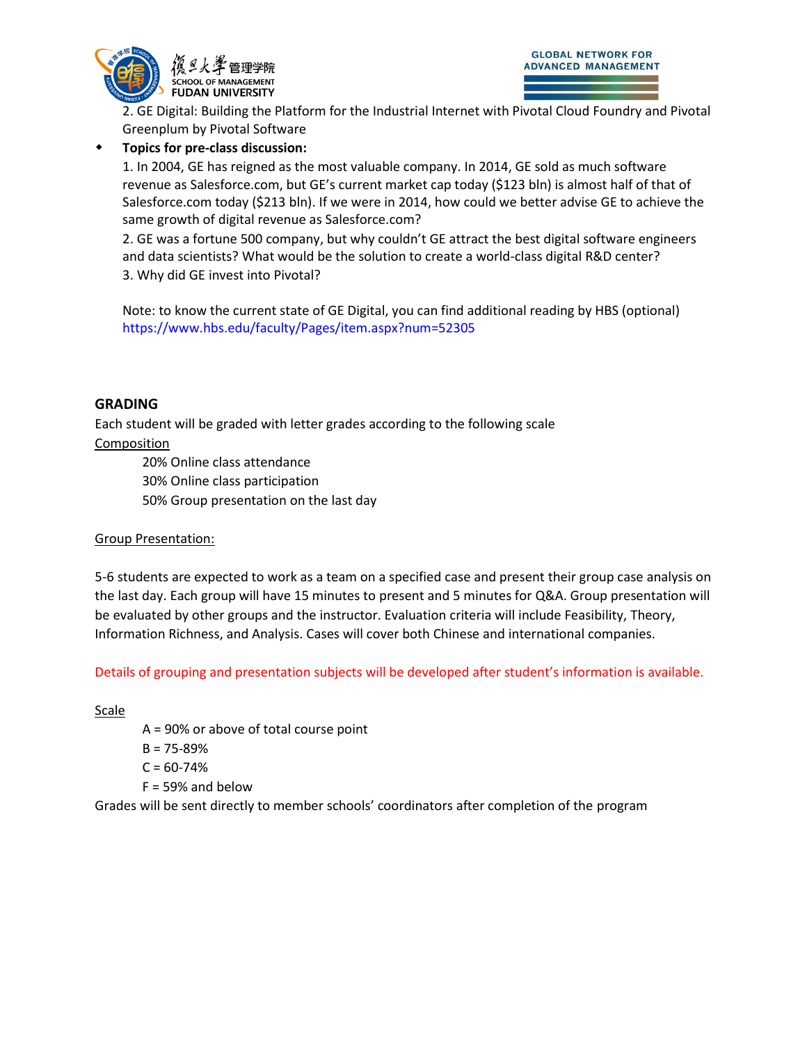

2. GE Digital: Building the Platform for the Industrial Internet with Pivotal Cloud Foundry and Pivotal Greenplum by Pivotal Software

# **Topics for pre-class discussion:**

1. In 2004, GE has reigned as the most valuable company. In 2014, GE sold as much software revenue as Salesforce.com, but GE's current market cap today (\$123 bln) is almost half of that of Salesforce.com today (\$213 bln). If we were in 2014, how could we better advise GE to achieve the same growth of digital revenue as Salesforce.com?

2. GE was a fortune 500 company, but why couldn't GE attract the best digital software engineers and data scientists? What would be the solution to create a world-class digital R&D center? 3. Why did GE invest into Pivotal?

Note: to know the current state of GE Digital, you can find additional reading by HBS (optional) https://www.hbs.edu/faculty/Pages/item.aspx?num=52305

# **GRADING**

Each student will be graded with letter grades according to the following scale

# Composition

20% Online class attendance 30% Online class participation 50% Group presentation on the last day

# Group Presentation:

5-6 students are expected to work as a team on a specified case and present their group case analysis on the last day. Each group will have 15 minutes to present and 5 minutes for Q&A. Group presentation will be evaluated by other groups and the instructor. Evaluation criteria will include Feasibility, Theory, Information Richness, and Analysis. Cases will cover both Chinese and international companies.

Details of grouping and presentation subjects will be developed after student's information is available.

**Scale** 

A = 90% or above of total course point

- $B = 75 89%$
- $C = 60 74%$
- $F = 59\%$  and below

Grades will be sent directly to member schools' coordinators after completion of the program